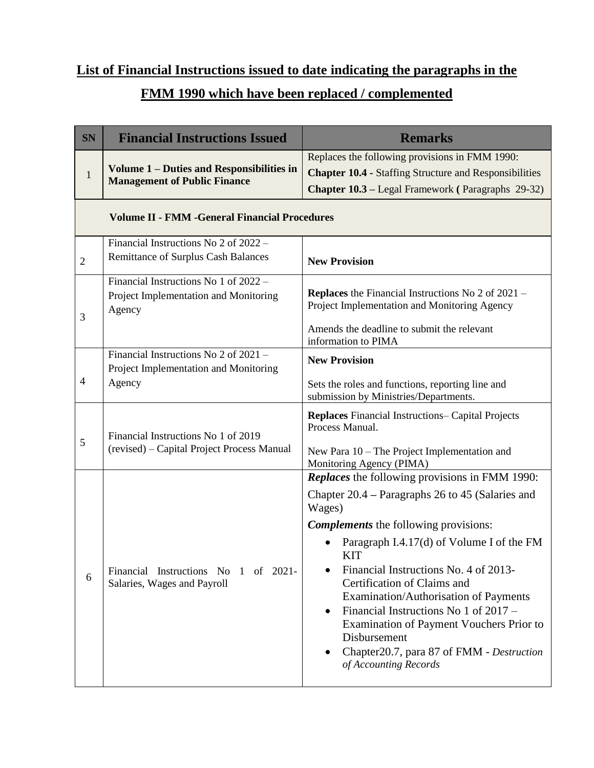## **List of Financial Instructions issued to date indicating the paragraphs in the**

## **FMM 1990 which have been replaced / complemented**

| <b>SN</b>                                             | <b>Financial Instructions Issued</b>                                                     | <b>Remarks</b>                                                                                                                                                                                                                                                                                                                                                                |  |  |
|-------------------------------------------------------|------------------------------------------------------------------------------------------|-------------------------------------------------------------------------------------------------------------------------------------------------------------------------------------------------------------------------------------------------------------------------------------------------------------------------------------------------------------------------------|--|--|
| $\mathbf{1}$                                          | Volume 1 – Duties and Responsibilities in<br><b>Management of Public Finance</b>         | Replaces the following provisions in FMM 1990:                                                                                                                                                                                                                                                                                                                                |  |  |
|                                                       |                                                                                          | <b>Chapter 10.4 - Staffing Structure and Responsibilities</b><br><b>Chapter 10.3</b> – Legal Framework (Paragraphs 29-32)                                                                                                                                                                                                                                                     |  |  |
| <b>Volume II - FMM - General Financial Procedures</b> |                                                                                          |                                                                                                                                                                                                                                                                                                                                                                               |  |  |
|                                                       | Financial Instructions No 2 of $2022 -$                                                  |                                                                                                                                                                                                                                                                                                                                                                               |  |  |
| $\overline{2}$                                        | <b>Remittance of Surplus Cash Balances</b>                                               | <b>New Provision</b>                                                                                                                                                                                                                                                                                                                                                          |  |  |
| 3                                                     | Financial Instructions No 1 of 2022 -<br>Project Implementation and Monitoring<br>Agency | <b>Replaces</b> the Financial Instructions No 2 of 2021 –<br>Project Implementation and Monitoring Agency                                                                                                                                                                                                                                                                     |  |  |
|                                                       |                                                                                          | Amends the deadline to submit the relevant<br>information to PIMA                                                                                                                                                                                                                                                                                                             |  |  |
|                                                       | Financial Instructions No 2 of 2021 -<br>Project Implementation and Monitoring           | <b>New Provision</b>                                                                                                                                                                                                                                                                                                                                                          |  |  |
| $\overline{\mathcal{A}}$                              | Agency                                                                                   | Sets the roles and functions, reporting line and<br>submission by Ministries/Departments.                                                                                                                                                                                                                                                                                     |  |  |
| 5                                                     | Financial Instructions No 1 of 2019<br>(revised) - Capital Project Process Manual        | <b>Replaces</b> Financial Instructions-Capital Projects<br>Process Manual.<br>New Para 10 – The Project Implementation and<br>Monitoring Agency (PIMA)                                                                                                                                                                                                                        |  |  |
|                                                       |                                                                                          | <b>Replaces</b> the following provisions in FMM 1990:                                                                                                                                                                                                                                                                                                                         |  |  |
| 6                                                     | Financial Instructions No 1 of 2021-<br>Salaries, Wages and Payroll                      | Chapter 20.4 – Paragraphs 26 to 45 (Salaries and<br>Wages)                                                                                                                                                                                                                                                                                                                    |  |  |
|                                                       |                                                                                          | <b>Complements</b> the following provisions:                                                                                                                                                                                                                                                                                                                                  |  |  |
|                                                       |                                                                                          | Paragraph I.4.17(d) of Volume I of the FM<br><b>KIT</b><br>Financial Instructions No. 4 of 2013-<br>Certification of Claims and<br>Examination/Authorisation of Payments<br>Financial Instructions No 1 of 2017 -<br>$\bullet$<br>Examination of Payment Vouchers Prior to<br>Disbursement<br>Chapter20.7, para 87 of FMM - Destruction<br>$\bullet$<br>of Accounting Records |  |  |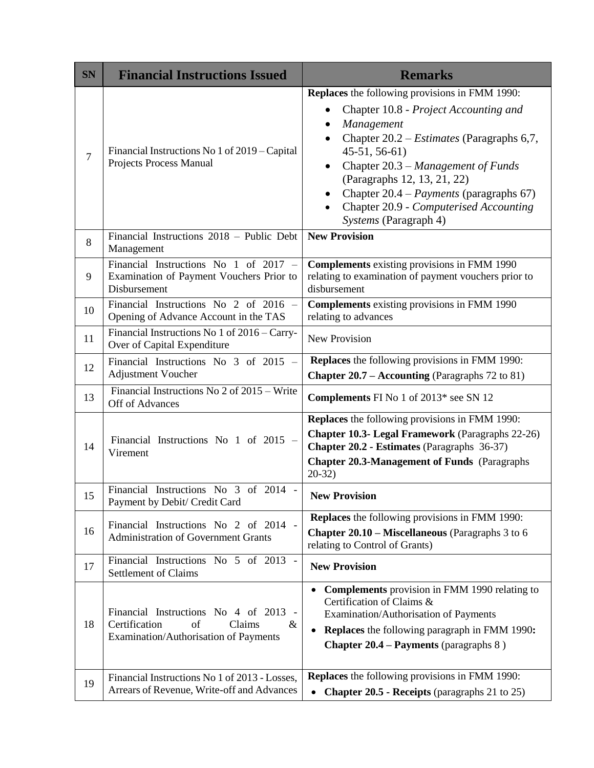| <b>SN</b> | <b>Financial Instructions Issued</b>                                                                                  | <b>Remarks</b>                                                                                                                                                                                                                                                                                                                                                                                          |
|-----------|-----------------------------------------------------------------------------------------------------------------------|---------------------------------------------------------------------------------------------------------------------------------------------------------------------------------------------------------------------------------------------------------------------------------------------------------------------------------------------------------------------------------------------------------|
| 7         | Financial Instructions No 1 of 2019 – Capital<br>Projects Process Manual                                              | <b>Replaces</b> the following provisions in FMM 1990:<br>Chapter 10.8 - Project Accounting and<br>Management<br>$\bullet$<br>Chapter $20.2 - Estimates$ (Paragraphs 6,7,<br>$45-51, 56-61$<br>Chapter 20.3 - Management of Funds<br>$\bullet$<br>(Paragraphs 12, 13, 21, 22)<br>Chapter 20.4 - Payments (paragraphs 67)<br>Chapter 20.9 - Computerised Accounting<br>$\bullet$<br>Systems (Paragraph 4) |
| $8\,$     | Financial Instructions 2018 - Public Debt<br>Management                                                               | <b>New Provision</b>                                                                                                                                                                                                                                                                                                                                                                                    |
| 9         | Financial Instructions No 1 of $2017 -$<br>Examination of Payment Vouchers Prior to<br>Disbursement                   | <b>Complements</b> existing provisions in FMM 1990<br>relating to examination of payment vouchers prior to<br>disbursement                                                                                                                                                                                                                                                                              |
| 10        | Financial Instructions No 2 of 2016<br>Opening of Advance Account in the TAS                                          | <b>Complements existing provisions in FMM 1990</b><br>relating to advances                                                                                                                                                                                                                                                                                                                              |
| 11        | Financial Instructions No 1 of 2016 – Carry-<br>Over of Capital Expenditure                                           | <b>New Provision</b>                                                                                                                                                                                                                                                                                                                                                                                    |
| 12        | Financial Instructions No $3$ of $2015$ -<br>Adjustment Voucher                                                       | <b>Replaces</b> the following provisions in FMM 1990:<br><b>Chapter 20.7 – Accounting (Paragraphs 72 to 81)</b>                                                                                                                                                                                                                                                                                         |
| 13        | Financial Instructions No 2 of 2015 – Write<br>Off of Advances                                                        | <b>Complements</b> FI No 1 of 2013* see SN 12                                                                                                                                                                                                                                                                                                                                                           |
| 14        | Financial Instructions No 1 of 2015 -<br>Virement                                                                     | <b>Replaces</b> the following provisions in FMM 1990:<br><b>Chapter 10.3- Legal Framework</b> (Paragraphs 22-26)<br>Chapter 20.2 - Estimates (Paragraphs 36-37)<br><b>Chapter 20.3-Management of Funds (Paragraphs)</b><br>$20-32)$                                                                                                                                                                     |
| 15        | Financial Instructions No 3 of 2014 -<br>Payment by Debit/ Credit Card                                                | <b>New Provision</b>                                                                                                                                                                                                                                                                                                                                                                                    |
| 16        | Financial Instructions No 2 of 2014 -<br><b>Administration of Government Grants</b>                                   | <b>Replaces</b> the following provisions in FMM 1990:<br>Chapter 20.10 - Miscellaneous (Paragraphs 3 to 6<br>relating to Control of Grants)                                                                                                                                                                                                                                                             |
| 17        | Financial Instructions No 5 of 2013 -<br>Settlement of Claims                                                         | <b>New Provision</b>                                                                                                                                                                                                                                                                                                                                                                                    |
| 18        | Financial Instructions No 4 of 2013<br>Certification<br>$\&$<br>of<br>Claims<br>Examination/Authorisation of Payments | <b>Complements</b> provision in FMM 1990 relating to<br>Certification of Claims &<br>Examination/Authorisation of Payments<br><b>Replaces</b> the following paragraph in FMM 1990:<br><b>Chapter 20.4 – Payments (paragraphs 8)</b>                                                                                                                                                                     |
| 19        | Financial Instructions No 1 of 2013 - Losses,<br>Arrears of Revenue, Write-off and Advances                           | <b>Replaces</b> the following provisions in FMM 1990:<br><b>Chapter 20.5 - Receipts (paragraphs 21 to 25)</b>                                                                                                                                                                                                                                                                                           |